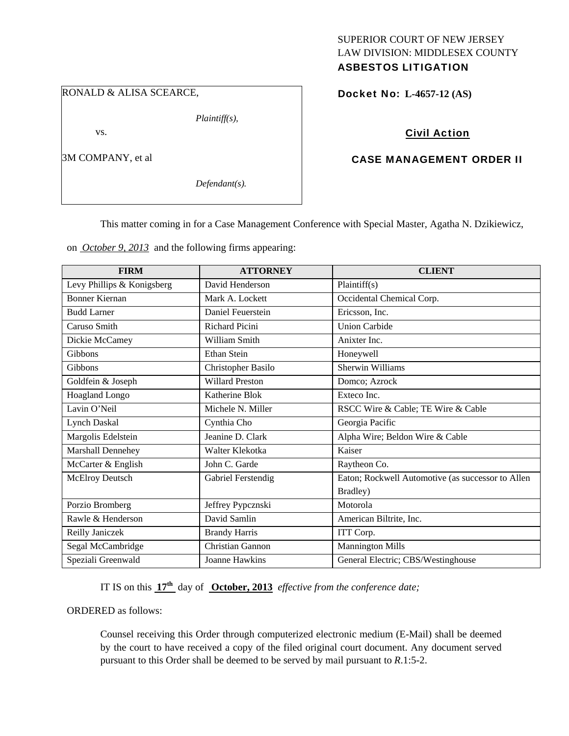#### RONALD & ALISA SCEARCE,

*Plaintiff(s),* 

vs.

3M COMPANY, et al

*Defendant(s).* 

## SUPERIOR COURT OF NEW JERSEY LAW DIVISION: MIDDLESEX COUNTY ASBESTOS LITIGATION

Docket No: **L-4657-12 (AS)** 

## Civil Action

## CASE MANAGEMENT ORDER II

This matter coming in for a Case Management Conference with Special Master, Agatha N. Dzikiewicz,

on *October 9, 2013* and the following firms appearing:

| <b>FIRM</b>                | <b>ATTORNEY</b>        | <b>CLIENT</b>                                     |
|----------------------------|------------------------|---------------------------------------------------|
| Levy Phillips & Konigsberg | David Henderson        | Plaintiff(s)                                      |
| <b>Bonner Kiernan</b>      | Mark A. Lockett        | Occidental Chemical Corp.                         |
| <b>Budd Larner</b>         | Daniel Feuerstein      | Ericsson, Inc.                                    |
| Caruso Smith               | <b>Richard Picini</b>  | <b>Union Carbide</b>                              |
| Dickie McCamey             | William Smith          | Anixter Inc.                                      |
| Gibbons                    | <b>Ethan Stein</b>     | Honeywell                                         |
| Gibbons                    | Christopher Basilo     | <b>Sherwin Williams</b>                           |
| Goldfein & Joseph          | <b>Willard Preston</b> | Domco; Azrock                                     |
| Hoagland Longo             | Katherine Blok         | Exteco Inc.                                       |
| Lavin O'Neil               | Michele N. Miller      | RSCC Wire & Cable; TE Wire & Cable                |
| <b>Lynch Daskal</b>        | Cynthia Cho            | Georgia Pacific                                   |
| Margolis Edelstein         | Jeanine D. Clark       | Alpha Wire; Beldon Wire & Cable                   |
| Marshall Dennehey          | Walter Klekotka        | Kaiser                                            |
| McCarter & English         | John C. Garde          | Raytheon Co.                                      |
| McElroy Deutsch            | Gabriel Ferstendig     | Eaton; Rockwell Automotive (as successor to Allen |
|                            |                        | Bradley)                                          |
| Porzio Bromberg            | Jeffrey Pypcznski      | Motorola                                          |
| Rawle & Henderson          | David Samlin           | American Biltrite, Inc.                           |
| Reilly Janiczek            | <b>Brandy Harris</b>   | ITT Corp.                                         |
| Segal McCambridge          | Christian Gannon       | <b>Mannington Mills</b>                           |
| Speziali Greenwald         | Joanne Hawkins         | General Electric; CBS/Westinghouse                |

IT IS on this **17th** day of **October, 2013** *effective from the conference date;*

ORDERED as follows:

Counsel receiving this Order through computerized electronic medium (E-Mail) shall be deemed by the court to have received a copy of the filed original court document. Any document served pursuant to this Order shall be deemed to be served by mail pursuant to *R*.1:5-2.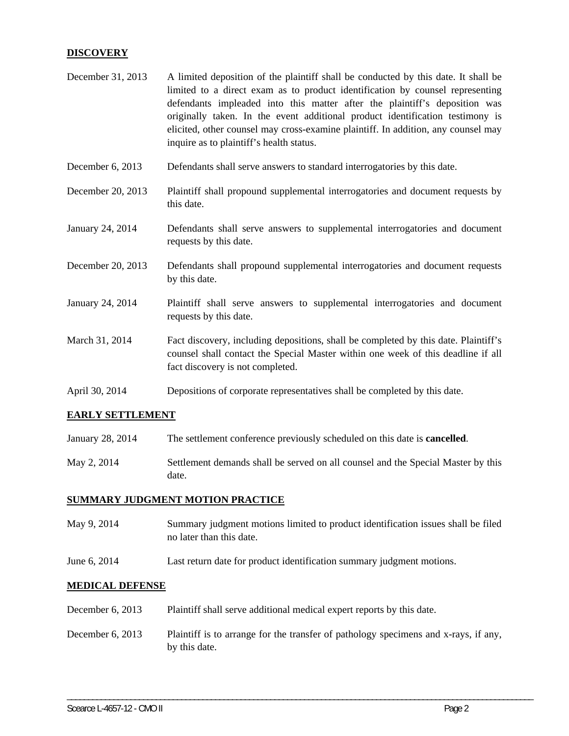## **DISCOVERY**

| December 31, 2013 | A limited deposition of the plaintiff shall be conducted by this date. It shall be<br>limited to a direct exam as to product identification by counsel representing<br>defendants impleaded into this matter after the plaintiff's deposition was<br>originally taken. In the event additional product identification testimony is<br>elicited, other counsel may cross-examine plaintiff. In addition, any counsel may<br>inquire as to plaintiff's health status. |  |
|-------------------|---------------------------------------------------------------------------------------------------------------------------------------------------------------------------------------------------------------------------------------------------------------------------------------------------------------------------------------------------------------------------------------------------------------------------------------------------------------------|--|
| December 6, 2013  | Defendants shall serve answers to standard interrogatories by this date.                                                                                                                                                                                                                                                                                                                                                                                            |  |
| December 20, 2013 | Plaintiff shall propound supplemental interrogatories and document requests by<br>this date.                                                                                                                                                                                                                                                                                                                                                                        |  |
| January 24, 2014  | Defendants shall serve answers to supplemental interrogatories and document<br>requests by this date.                                                                                                                                                                                                                                                                                                                                                               |  |
| December 20, 2013 | Defendants shall propound supplemental interrogatories and document requests<br>by this date.                                                                                                                                                                                                                                                                                                                                                                       |  |
| January 24, 2014  | Plaintiff shall serve answers to supplemental interrogatories and document<br>requests by this date.                                                                                                                                                                                                                                                                                                                                                                |  |
| March 31, 2014    | Fact discovery, including depositions, shall be completed by this date. Plaintiff's<br>counsel shall contact the Special Master within one week of this deadline if all<br>fact discovery is not completed.                                                                                                                                                                                                                                                         |  |
| April 30, 2014    | Depositions of corporate representatives shall be completed by this date.                                                                                                                                                                                                                                                                                                                                                                                           |  |

## **EARLY SETTLEMENT**

- January 28, 2014 The settlement conference previously scheduled on this date is **cancelled**.
- May 2, 2014 Settlement demands shall be served on all counsel and the Special Master by this date.

### **SUMMARY JUDGMENT MOTION PRACTICE**

- May 9, 2014 Summary judgment motions limited to product identification issues shall be filed no later than this date.
- June 6, 2014 Last return date for product identification summary judgment motions.

#### **MEDICAL DEFENSE**

- December 6, 2013 Plaintiff shall serve additional medical expert reports by this date.
- December 6, 2013 Plaintiff is to arrange for the transfer of pathology specimens and x-rays, if any, by this date.

\_\_\_\_\_\_\_\_\_\_\_\_\_\_\_\_\_\_\_\_\_\_\_\_\_\_\_\_\_\_\_\_\_\_\_\_\_\_\_\_\_\_\_\_\_\_\_\_\_\_\_\_\_\_\_\_\_\_\_\_\_\_\_\_\_\_\_\_\_\_\_\_\_\_\_\_\_\_\_\_\_\_\_\_\_\_\_\_\_\_\_\_\_\_\_\_\_\_\_\_\_\_\_\_\_\_\_\_\_\_